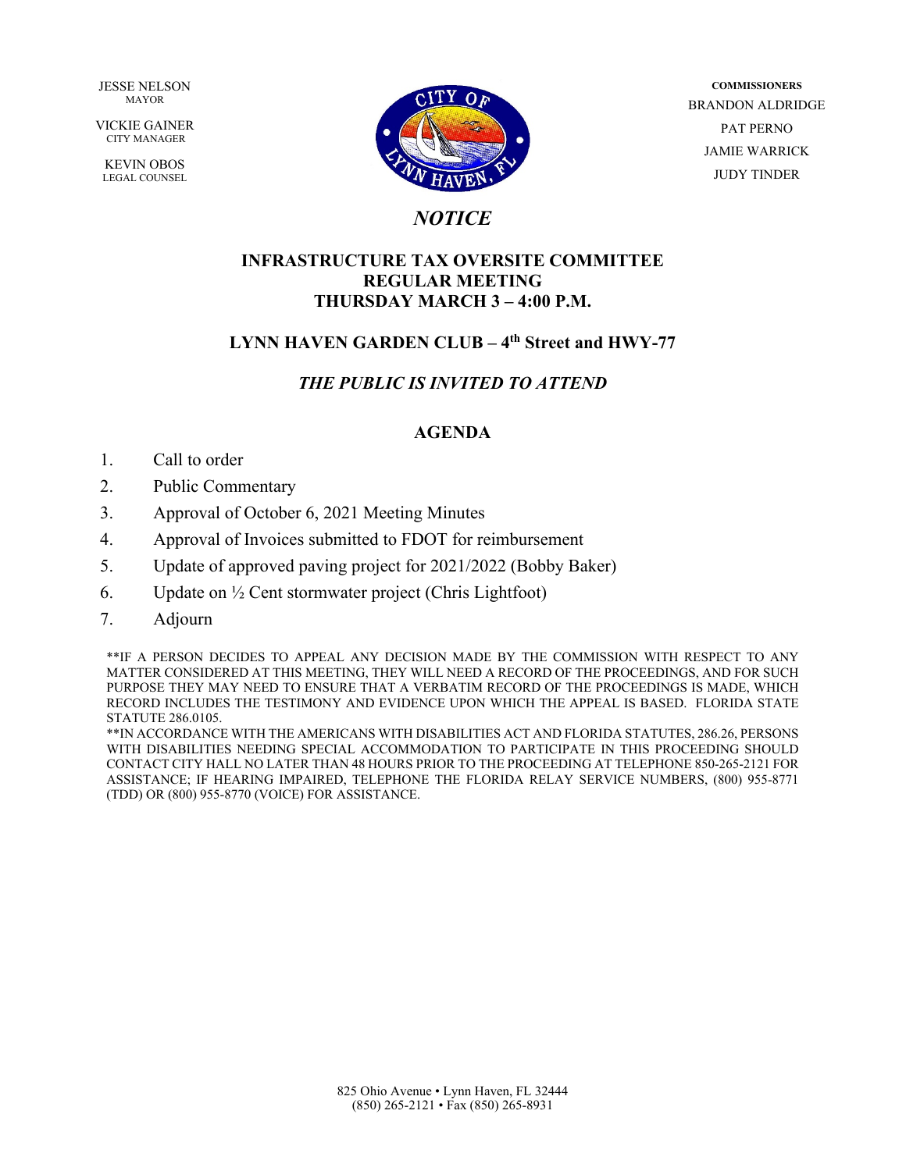**JESSE NELSON** MAYOR

VICKIE GAINER CITY MANAGER

KEVIN OBOS LEGAL COUNSEL



**COMMISSIONERS** BRANDON ALDRIDGE PAT PERNO JAMIE WARRICK JUDY TINDER

# *NOTICE*

# **INFRASTRUCTURE TAX OVERSITE COMMITTEE REGULAR MEETING THURSDAY MARCH 3 – 4:00 P.M.**

# LYNN HAVEN GARDEN CLUB – 4<sup>th</sup> Street and HWY-77

# *THE PUBLIC IS INVITED TO ATTEND*

# **AGENDA**

- 1. Call to order
- 2. Public Commentary
- 3. Approval of October 6, 2021 Meeting Minutes
- 4. Approval of Invoices submitted to FDOT for reimbursement
- 5. Update of approved paving project for 2021/2022 (Bobby Baker)
- 6. Update on  $\frac{1}{2}$  Cent stormwater project (Chris Lightfoot)
- 7. Adjourn

\*\*IF A PERSON DECIDES TO APPEAL ANY DECISION MADE BY THE COMMISSION WITH RESPECT TO ANY MATTER CONSIDERED AT THIS MEETING, THEY WILL NEED A RECORD OF THE PROCEEDINGS, AND FOR SUCH PURPOSE THEY MAY NEED TO ENSURE THAT A VERBATIM RECORD OF THE PROCEEDINGS IS MADE, WHICH RECORD INCLUDES THE TESTIMONY AND EVIDENCE UPON WHICH THE APPEAL IS BASED. FLORIDA STATE STATUTE 286.0105.

\*\*IN ACCORDANCE WITH THE AMERICANS WITH DISABILITIES ACT AND FLORIDA STATUTES, 286.26, PERSONS WITH DISABILITIES NEEDING SPECIAL ACCOMMODATION TO PARTICIPATE IN THIS PROCEEDING SHOULD CONTACT CITY HALL NO LATER THAN 48 HOURS PRIOR TO THE PROCEEDING AT TELEPHONE 850-265-2121 FOR ASSISTANCE; IF HEARING IMPAIRED, TELEPHONE THE FLORIDA RELAY SERVICE NUMBERS, (800) 955-8771 (TDD) OR (800) 955-8770 (VOICE) FOR ASSISTANCE.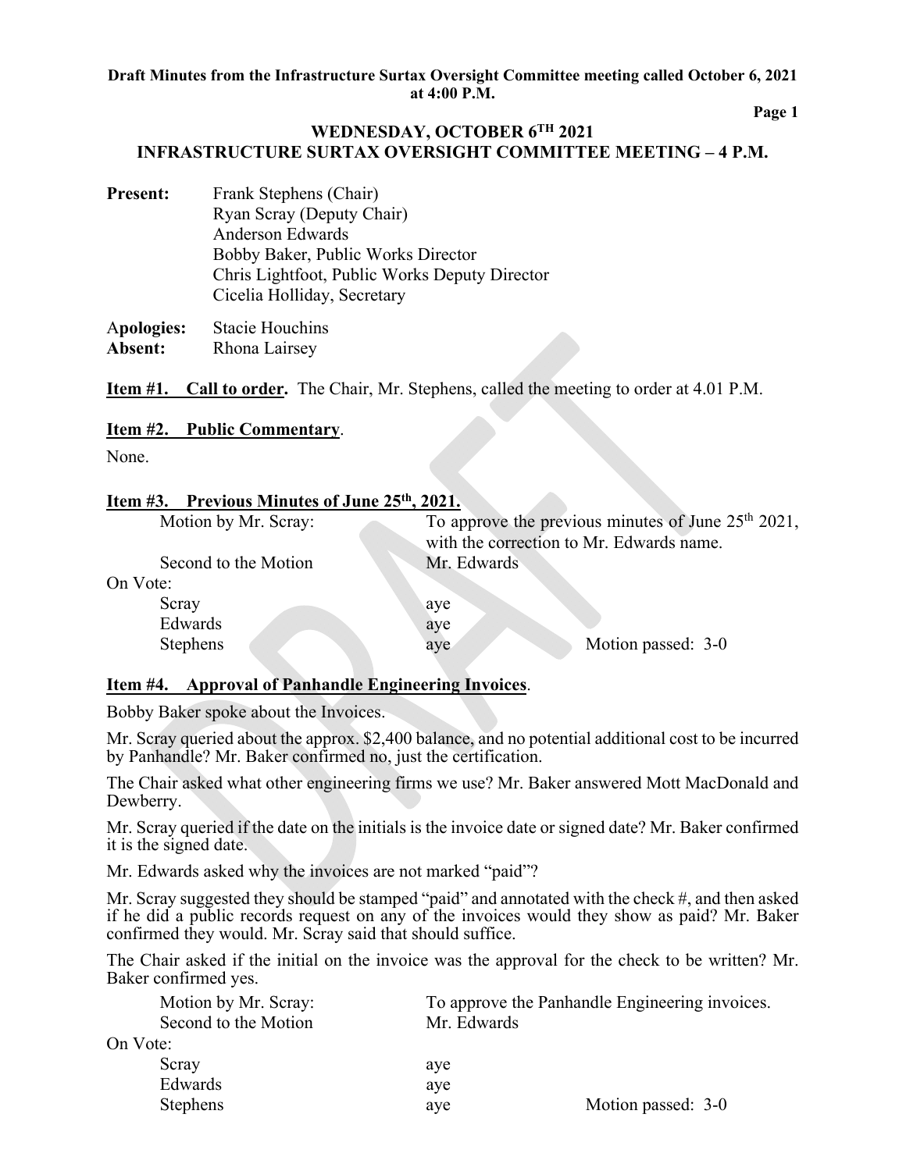**Page 1** 

# **WEDNESDAY, OCTOBER 6TH 2021 INFRASTRUCTURE SURTAX OVERSIGHT COMMITTEE MEETING – 4 P.M.**

**Present:** Frank Stephens (Chair) Ryan Scray (Deputy Chair) Anderson Edwards Bobby Baker, Public Works Director Chris Lightfoot, Public Works Deputy Director Cicelia Holliday, Secretary

A**pologies:** Stacie Houchins **Absent:** Rhona Lairsey

**Item #1. Call to order.** The Chair, Mr. Stephens, called the meeting to order at 4.01 P.M.

## **Item #2. Public Commentary**.

None.

## **Item #3. Previous Minutes of June 25th, 2021.**

| Motion by Mr. Scray: | To approve the previous minutes of June $25th 2021$ ,<br>with the correction to Mr. Edwards name. |  |
|----------------------|---------------------------------------------------------------------------------------------------|--|
| Second to the Motion | Mr. Edwards                                                                                       |  |
| On Vote:             |                                                                                                   |  |
| Scray                | aye                                                                                               |  |
| Edwards              | aye                                                                                               |  |
| <b>Stephens</b>      | Motion passed: 3-0<br>aye                                                                         |  |
|                      |                                                                                                   |  |

## **Item #4. Approval of Panhandle Engineering Invoices**.

Bobby Baker spoke about the Invoices.

Mr. Scray queried about the approx. \$2,400 balance, and no potential additional cost to be incurred by Panhandle? Mr. Baker confirmed no, just the certification.

The Chair asked what other engineering firms we use? Mr. Baker answered Mott MacDonald and Dewberry.

Mr. Scray queried if the date on the initials is the invoice date or signed date? Mr. Baker confirmed it is the signed date.

Mr. Edwards asked why the invoices are not marked "paid"?

Mr. Scray suggested they should be stamped "paid" and annotated with the check #, and then asked if he did a public records request on any of the invoices would they show as paid? Mr. Baker confirmed they would. Mr. Scray said that should suffice.

The Chair asked if the initial on the invoice was the approval for the check to be written? Mr. Baker confirmed yes.

| Motion by Mr. Scray: |             | To approve the Panhandle Engineering invoices. |
|----------------------|-------------|------------------------------------------------|
| Second to the Motion | Mr. Edwards |                                                |
| On Vote:             |             |                                                |
| Scray                | aye         |                                                |
| Edwards              | aye         |                                                |
| <b>Stephens</b>      | aye         | Motion passed: 3-0                             |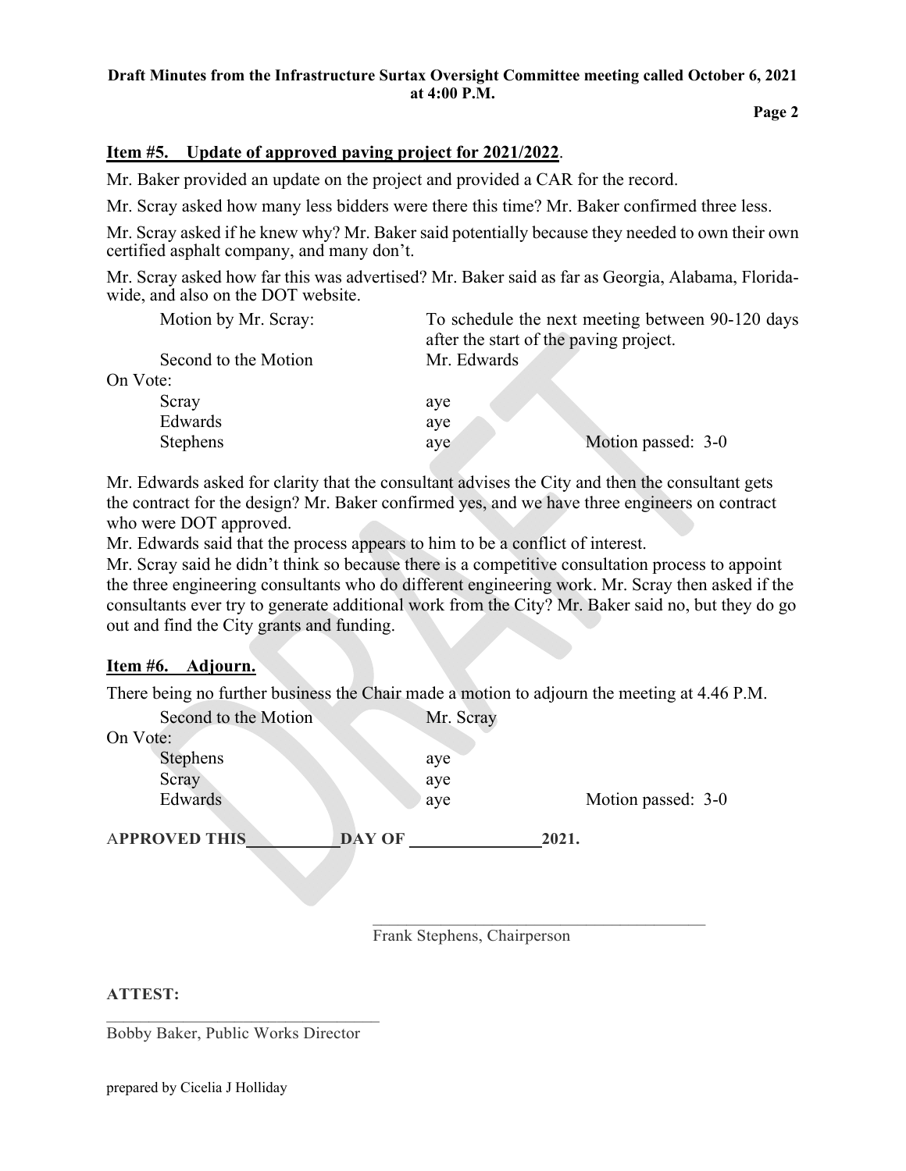## **Draft Minutes from the Infrastructure Surtax Oversight Committee meeting called October 6, 2021 at 4:00 P.M.**

# **Item #5. Update of approved paving project for 2021/2022**.

Mr. Baker provided an update on the project and provided a CAR for the record.

Mr. Scray asked how many less bidders were there this time? Mr. Baker confirmed three less.

Mr. Scray asked if he knew why? Mr. Baker said potentially because they needed to own their own certified asphalt company, and many don't.

Mr. Scray asked how far this was advertised? Mr. Baker said as far as Georgia, Alabama, Floridawide, and also on the DOT website.

| Motion by Mr. Scray: |             | To schedule the next meeting between 90-120 days |
|----------------------|-------------|--------------------------------------------------|
|                      |             | after the start of the paving project.           |
| Second to the Motion | Mr. Edwards |                                                  |
| On Vote:             |             |                                                  |
| Scray                | aye         |                                                  |
| Edwards              | aye         |                                                  |
| <b>Stephens</b>      | aye         | Motion passed: 3-0                               |
|                      |             |                                                  |

Mr. Edwards asked for clarity that the consultant advises the City and then the consultant gets the contract for the design? Mr. Baker confirmed yes, and we have three engineers on contract who were DOT approved.

Mr. Edwards said that the process appears to him to be a conflict of interest.

Mr. Scray said he didn't think so because there is a competitive consultation process to appoint the three engineering consultants who do different engineering work. Mr. Scray then asked if the consultants ever try to generate additional work from the City? Mr. Baker said no, but they do go out and find the City grants and funding.

## **Item #6. Adjourn.**

There being no further business the Chair made a motion to adjourn the meeting at 4.46 P.M.

| Second to the Motion |               | Mr. Scray |       |                    |  |
|----------------------|---------------|-----------|-------|--------------------|--|
| On Vote:             |               |           |       |                    |  |
| Stephens             |               | aye       |       |                    |  |
| Scray                |               | aye       |       |                    |  |
| Edwards              |               | aye       |       | Motion passed: 3-0 |  |
|                      |               |           |       |                    |  |
| <b>APPROVED THIS</b> | <b>DAY OF</b> |           | 2021. |                    |  |
|                      |               |           |       |                    |  |

Frank Stephens, Chairperson

## **ATTEST:**

 $\mathcal{L}_\text{max}$ Bobby Baker, Public Works Director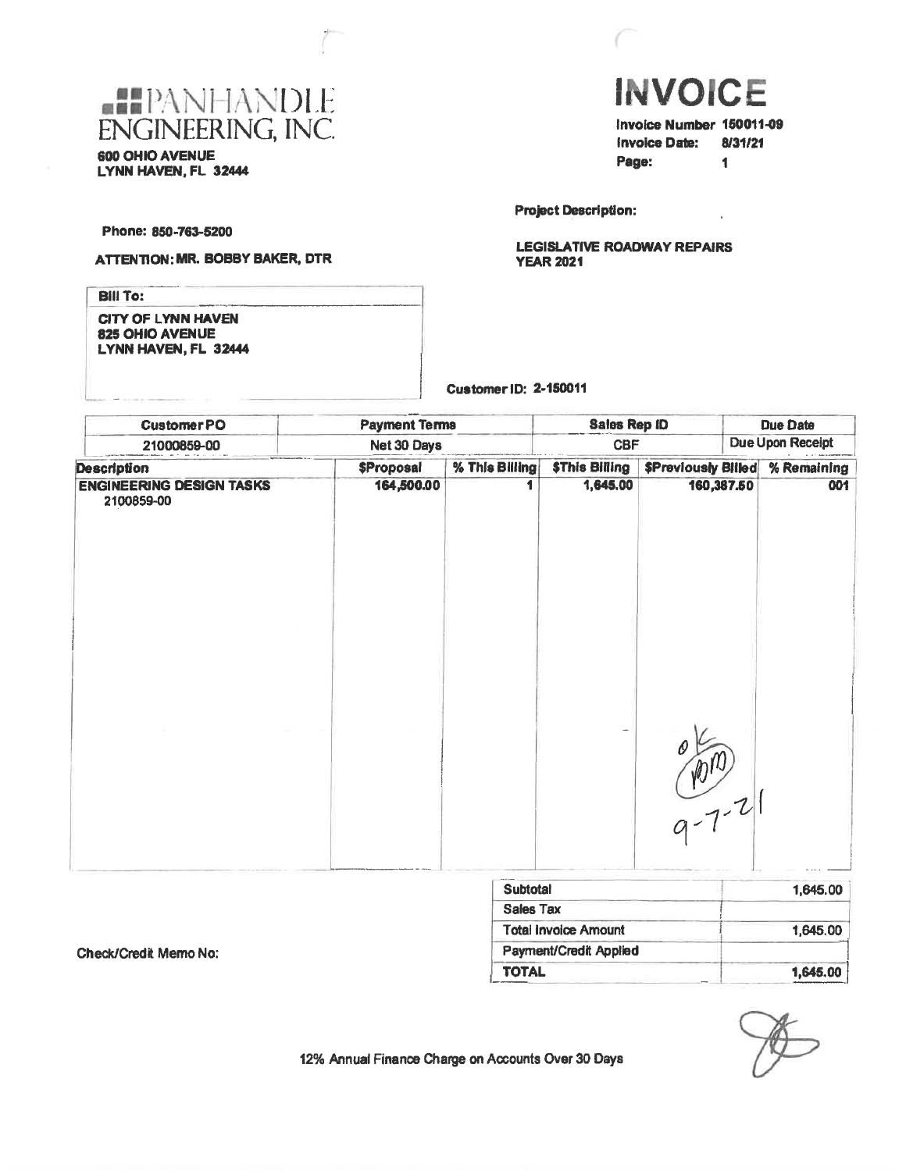

**INVOICE** Invoice Number 150011-09 **Invoice Date:** 8/31/21 Page:  $\blacksquare$ 

**Project Description:** 

**LEGISLATIVE ROADWAY REPAIRS YEAR 2021** 

Phone: 850-763-5200

### **ATTENTION: MR. BOBBY BAKER, DTR**

**Bill To:** 

**CITY OF LYNN HAVEN** 825 OHIO AVENUE LYNN HAVEN, FL 32444

**Customer ID: 2-150011** 

| <b>CustomerPO</b>                             | <b>Payment Terms</b> |                   | <b>Sales Rep ID</b>            |                       |                            | <b>Due Date</b> |             |
|-----------------------------------------------|----------------------|-------------------|--------------------------------|-----------------------|----------------------------|-----------------|-------------|
| Net 30 Days<br>21000859-00                    |                      |                   | Due Upon Receipt<br><b>CBF</b> |                       |                            |                 |             |
| <b>Description</b>                            |                      | <b>\$Proposal</b> | % This Billing                 | <b>\$This Billing</b> | <b>\$Previously Billed</b> |                 | % Remaining |
| <b>ENGINEERING DESIGN TASKS</b><br>2100859-00 |                      | 164,500.00        |                                | 1,645.00              | 160,387.50                 |                 | 001         |
|                                               |                      |                   |                                |                       | $9 - 7 - 21$               |                 |             |

| <b>Subtotal</b>        | 1.645.00 |
|------------------------|----------|
| <b>Sales Tax</b>       |          |
| Total Invoice Amount   | 1.645.00 |
| Payment/Credit Applied |          |
| <b>TOTAL</b>           | 1,645.00 |

Check/Credit Memo No: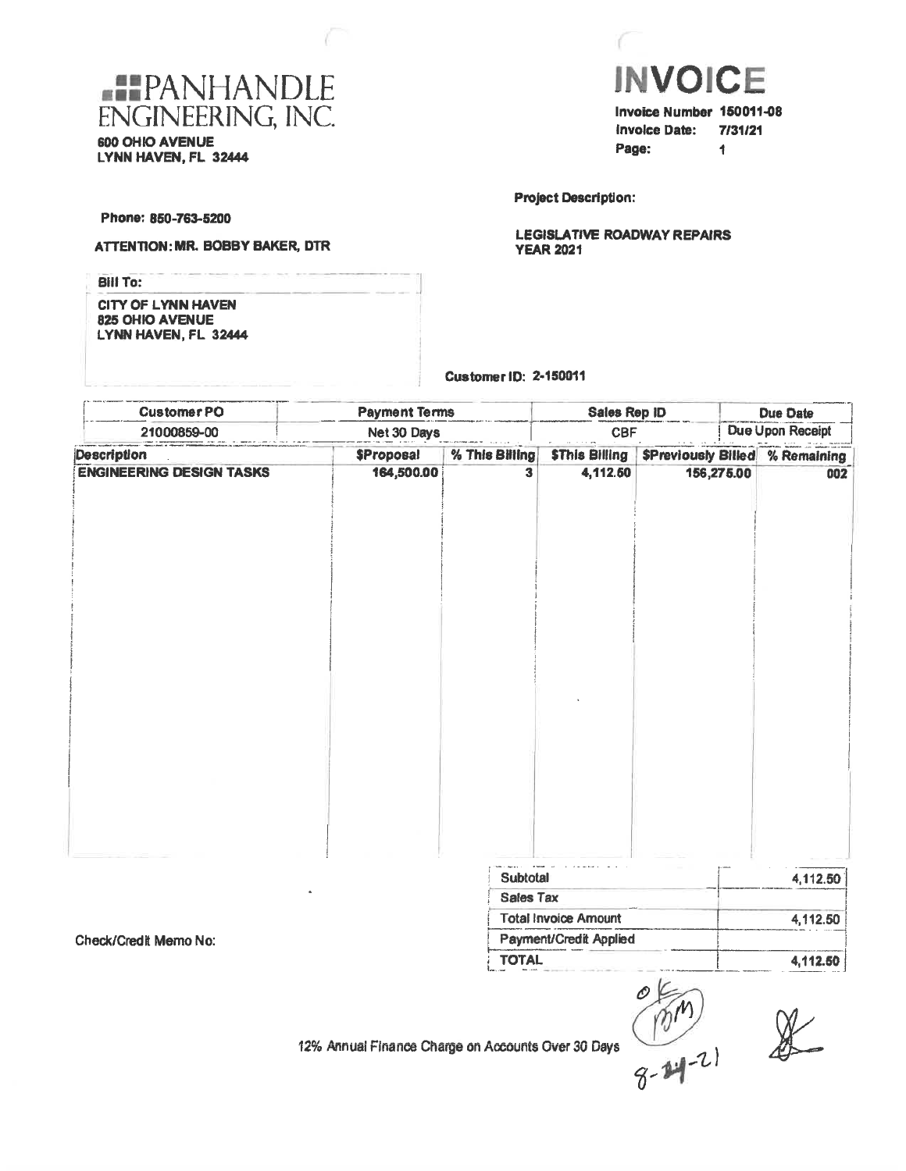



invoice Date: 7/31/21 Page: 1

**Project Description:** 

**LEGISLATIVE ROADWAY REPAIRS YEAR 2021** 

Phone: 850-763-5200

ATTENTION: MR. BOBBY BAKER, DTR

| Bill To:                                                             |  |
|----------------------------------------------------------------------|--|
| <b>CITY OF LYNN HAVEN</b><br>825 OHIO AVENUE<br>LYNN HAVEN, FL 32444 |  |

Customer ID: 2-150011

| <b>CustomerPO</b>               | <b>Payment Terms</b> |                  | <b>Sales Rep ID</b>         |            | Due Date |                                       |
|---------------------------------|----------------------|------------------|-----------------------------|------------|----------|---------------------------------------|
| 21000859-00                     | Net 30 Days          |                  | <b>CBF</b>                  |            |          | Due Upon Receipt                      |
| Description                     | <b>SProposal</b>     | % This Billing   | <b>SThis Billing</b>        |            |          | <b>SPreviously Billed % Remaining</b> |
| <b>ENGINEERING DESIGN TASKS</b> | 164,500.00           | 3                | 4,112.50                    | 156,275.00 |          | 002                                   |
|                                 |                      |                  |                             |            |          |                                       |
|                                 |                      |                  |                             |            |          |                                       |
|                                 |                      |                  |                             |            |          |                                       |
|                                 |                      | Subtotal         |                             |            |          | 4,112.50                              |
|                                 |                      | <b>Sales Tax</b> |                             |            |          |                                       |
|                                 |                      |                  | <b>Total Invoice Amount</b> |            |          | 4,112.50                              |
| Check/Credit Memo No:           |                      |                  | Payment/Credit Applied      |            |          |                                       |

**TOTAL** 

Check/Credit Memo No:

 $\frac{1}{8-24-21}$  & 12% Annual Finance Charge on Accounts Over 30 Days

4,112.50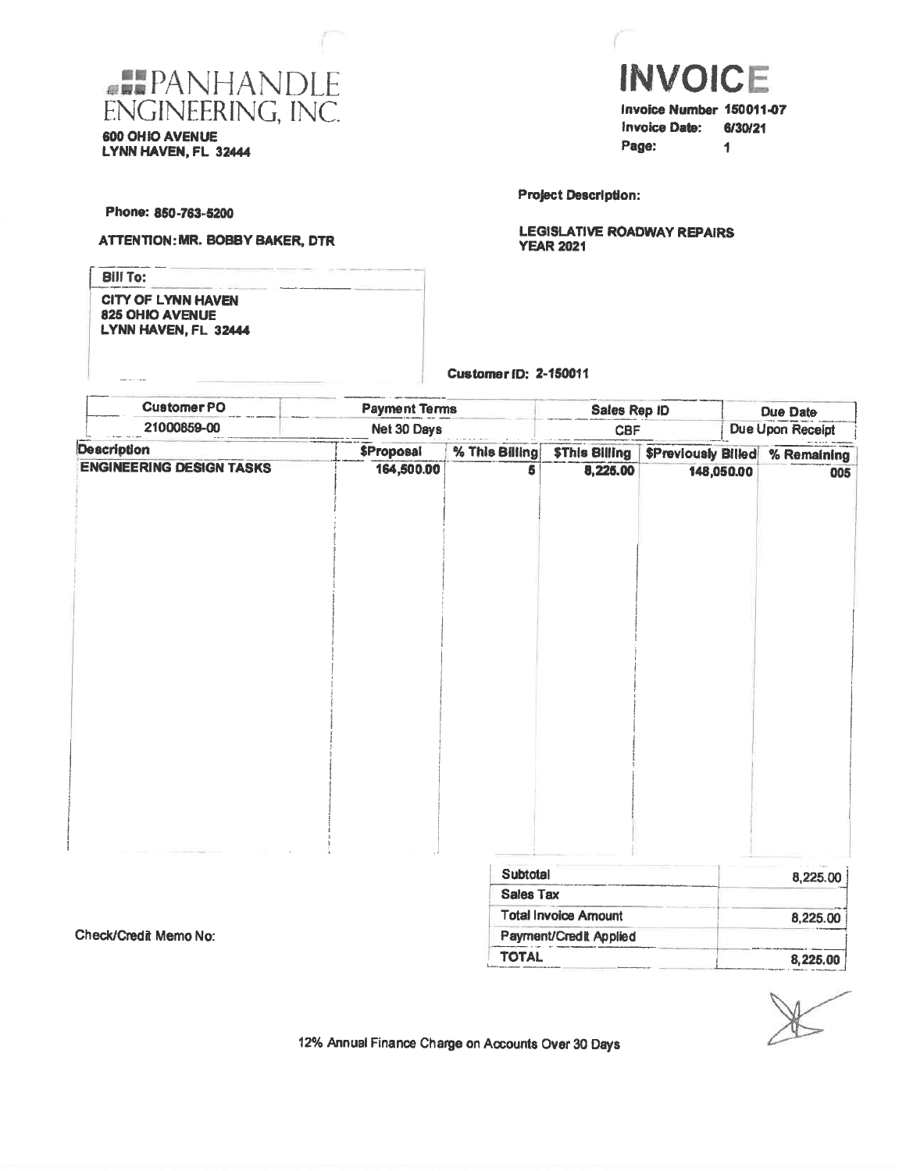

600 OHIO AVENUE LYNN HAVEN, FL 32444



Invoice Number 150011-07 **Invoice Date:** 6/30/21 Page:  $\ddot{\phantom{1}}$ 

**Project Description:** 

**LEGISLATIVE ROADWAY REPAIRS YEAR 2021** 

Phone: 850-763-5200

 $\label{eq:1} \frac{1}{2} \frac{1}{2} \frac{1}{2} \frac{1}{2} \frac{1}{2} \frac{1}{2} \frac{1}{2} \frac{1}{2} \frac{1}{2} \frac{1}{2} \frac{1}{2} \frac{1}{2} \frac{1}{2} \frac{1}{2} \frac{1}{2} \frac{1}{2} \frac{1}{2} \frac{1}{2} \frac{1}{2} \frac{1}{2} \frac{1}{2} \frac{1}{2} \frac{1}{2} \frac{1}{2} \frac{1}{2} \frac{1}{2} \frac{1}{2} \frac{1}{2} \frac{1}{2} \frac{1}{2} \frac{$ 

Check/Credit Memo No:

#### ATTENTION: MR. BOBBY BAKER, DTR

**Bill To: CITY OF LYNN HAVEN** 825 OHIO AVENUE LYNN HAVEN, FL 32444

Customer (D: 2-150011

| <b>CustomerPO</b>               | <b>Payment Terms</b> |                  |                             | Sales Rep ID               | <b>Due Date</b> |                  |  |
|---------------------------------|----------------------|------------------|-----------------------------|----------------------------|-----------------|------------------|--|
| 21000859-00<br>Net 30 Days      |                      |                  | <b>CBF</b>                  |                            |                 | Due Upon Receipt |  |
| <b>Description</b>              | <b>\$Proposal</b>    | % This Billing   | <b>\$This Billing</b>       | <b>\$Previously Billed</b> |                 | % Remaining      |  |
| <b>ENGINEERING DESIGN TASKS</b> | 164,500.00           | 5                | 8,225.00                    | 148,050.00                 |                 | 005              |  |
|                                 |                      | Subtotal         |                             |                            |                 | 8,225.00         |  |
|                                 |                      | <b>Sales Tax</b> |                             |                            |                 |                  |  |
|                                 |                      |                  | <b>Total Invoice Amount</b> |                            |                 | $0$ and an       |  |

l otal Invoice Amount 8,225.00 Payment/Credit Applied **TOTAL** 8,225.00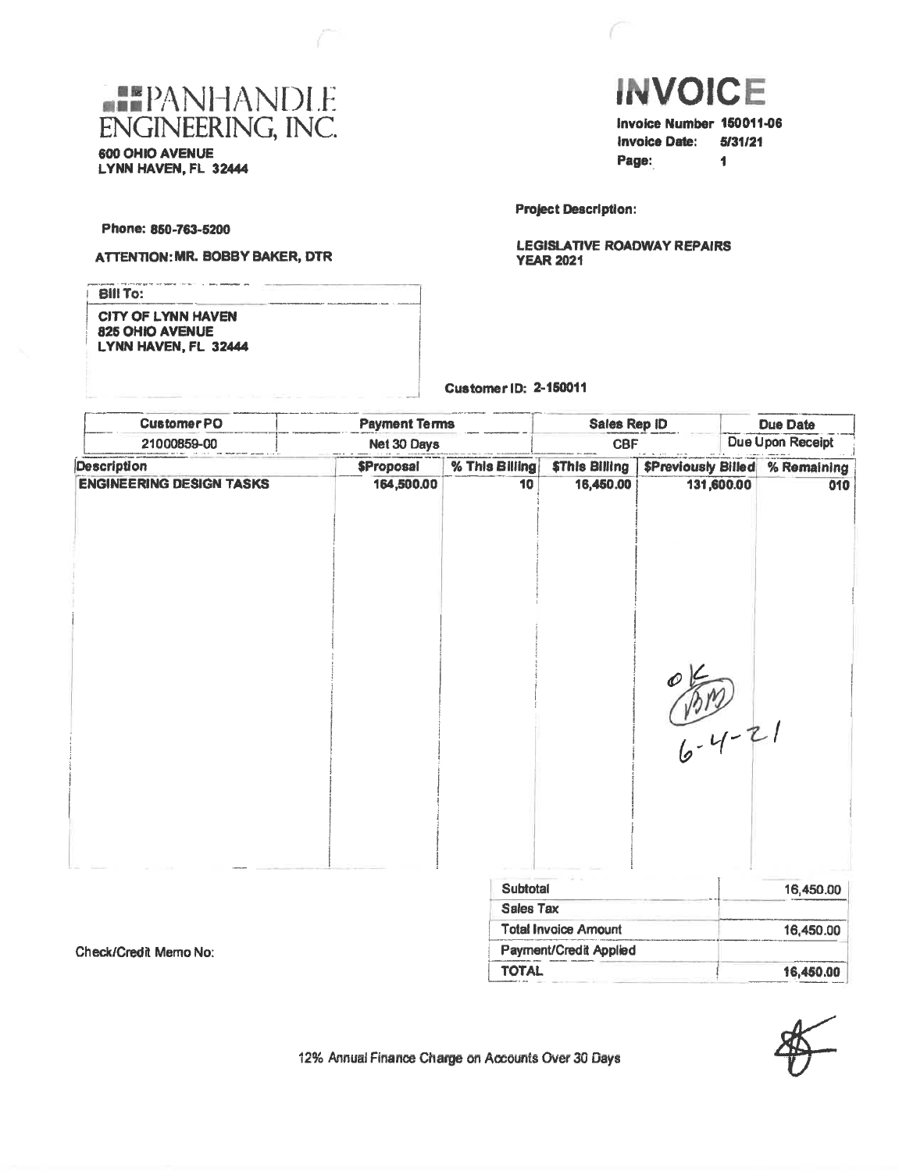

600 OHIO AVENUE LYNN HAVEN, FL 32444



**Project Description:** 

**LEGISLATIVE ROADWAY REPAIRS YEAR 2021** 

Phone: 850-763-5200

### **ATTENTION: MR. BOBBY BAKER, DTR**

| <b>Bill To:</b>                                                      |  |
|----------------------------------------------------------------------|--|
| <b>CITY OF LYNN HAVEN</b><br>825 OHIO AVENUE<br>LYNN HAVEN, FL 32444 |  |

#### **Customer ID: 2-150011**

| <b>CustomerPO</b>               | <b>Payment Terms</b><br>Sales Rep ID<br><b>CBF</b><br>21000859-00<br>Net 30 Days |                  |                               |                           |                         | <b>Due Date</b> |  |
|---------------------------------|----------------------------------------------------------------------------------|------------------|-------------------------------|---------------------------|-------------------------|-----------------|--|
|                                 |                                                                                  |                  |                               |                           | <b>Due Upon Receipt</b> |                 |  |
| <b>Description</b>              | \$Proposal                                                                       | % This Billing   | <b>\$This Billing</b>         | <b>SPreviously Billed</b> |                         | % Remaining     |  |
| <b>ENGINEERING DESIGN TASKS</b> | 164,500.00                                                                       | 10               | 16,450.00                     | 131,600.00                |                         | 010             |  |
|                                 |                                                                                  |                  |                               | $\frac{1000}{6}-4-21$     |                         |                 |  |
|                                 |                                                                                  | Subtotal         |                               |                           |                         | 16,450.00       |  |
|                                 |                                                                                  | <b>Sales Tax</b> |                               |                           |                         |                 |  |
|                                 |                                                                                  |                  | <b>Total Invoice Amount</b>   |                           |                         | 16,450.00       |  |
| Check/Credit Memo No:           |                                                                                  |                  | <b>Payment/Credit Applied</b> |                           |                         |                 |  |



16,450.00

12% Annual Finance Charge on Accounts Over 30 Days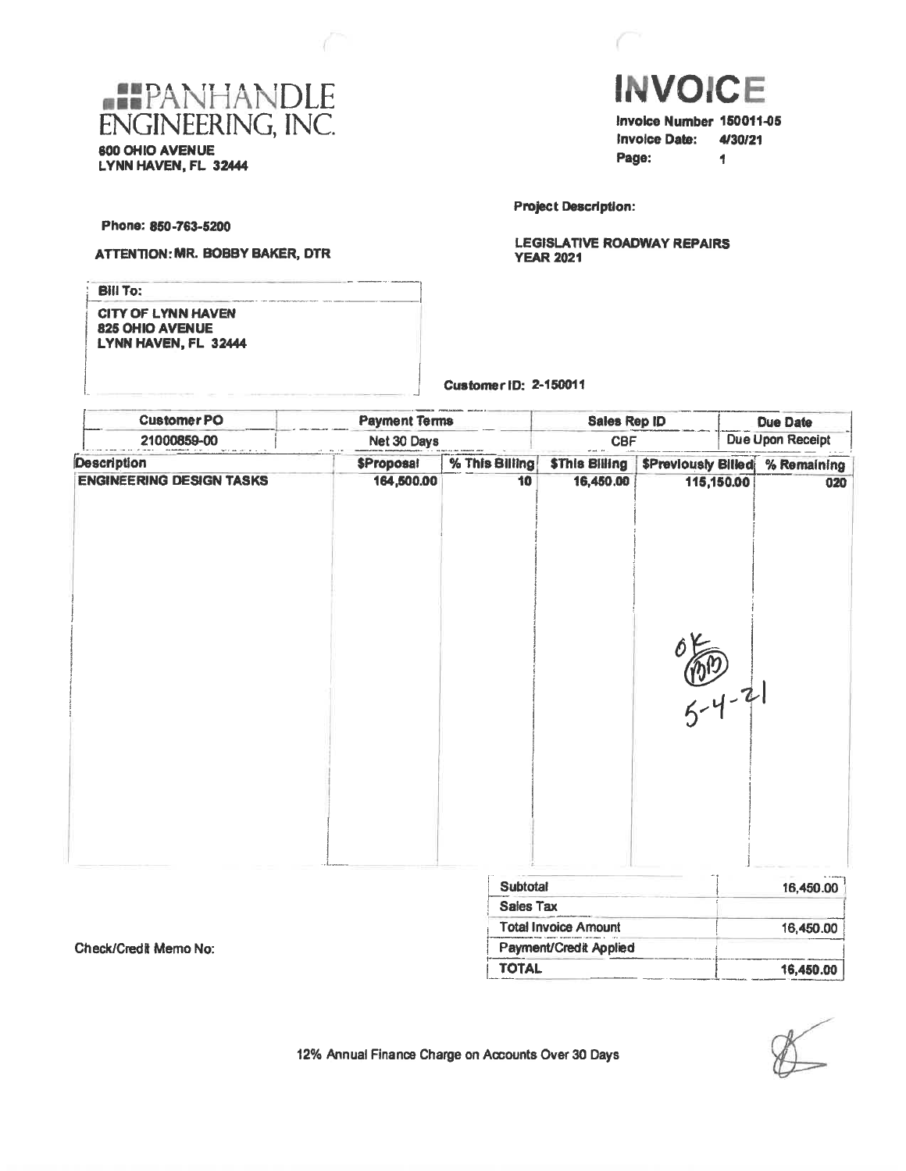



Invoice Date: 4/30/21 Page: 1

**Project Description:** 

**LEGISLATIVE ROADWAY REPAIRS YEAR 2021** 

Phone: 850-763-5200

ţ

#### ATTENTION: MR. BOBBY BAKER, DTR

| <b>Bill To:</b>           |  |
|---------------------------|--|
| <b>CITY OF LYNN HAVEN</b> |  |
| 825 OHIO AVENUE           |  |
| LYNN HAVEN, FL 32444      |  |
|                           |  |
|                           |  |
|                           |  |

Customer ID: 2-150011

| <b>CustomerPO</b>               | <b>Payment Terms</b> |                  | <b>Sales Rep ID</b>         |                            |            | <b>Due Date</b> |
|---------------------------------|----------------------|------------------|-----------------------------|----------------------------|------------|-----------------|
| 21000859-00<br>Net 30 Days      |                      | <b>CBF</b>       |                             | <b>Due Upon Receipt</b>    |            |                 |
| <b>Description</b>              | <b>\$Proposal</b>    | % This Billing   | <b>\$This Billing</b>       | <b>\$Previously Billed</b> |            | % Remaining     |
| <b>ENGINEERING DESIGN TASKS</b> | 164,500.00           | 10               | 16,450.00                   |                            | 115,150.00 | 020             |
|                                 |                      |                  |                             | $\frac{(0,0)}{5-4-21}$     |            |                 |
|                                 |                      | Subtotal         |                             |                            |            | 16,450.00       |
|                                 |                      | <b>Sales Tax</b> |                             |                            |            |                 |
|                                 |                      |                  | <b>Total Invoice Amount</b> |                            |            | 16,450.00       |

Check/Credit Memo No:

16,450.00

12% Annual Finance Charge on Accounts Over 30 Days

Payment/Credit Applied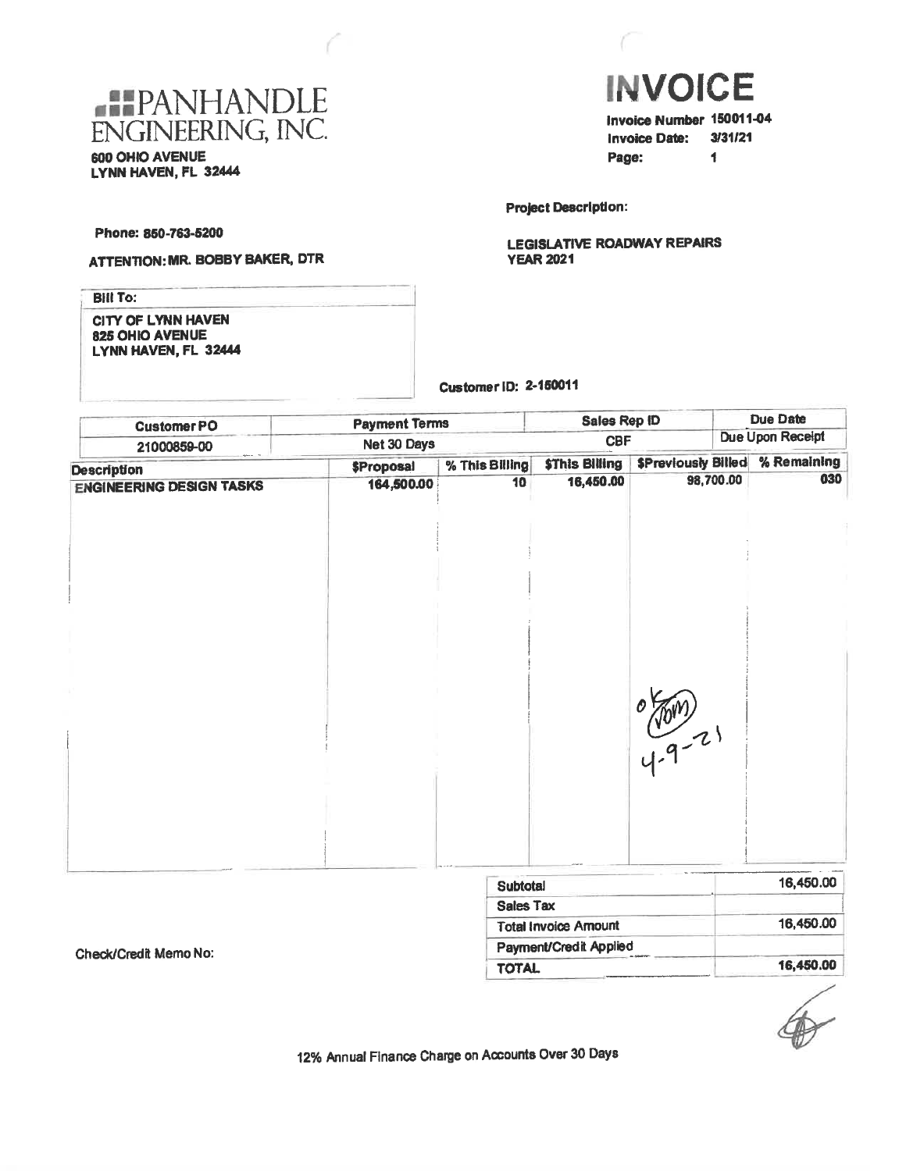



Invoice Number 150011-04 **Invoice Date:** 3/31/21 Page:  $\blacksquare$ 

**Project Description:** 

**LEGISLATIVE ROADWAY REPAIRS YEAR 2021** 

Phone: 850-763-5200

# **ATTENTION: MR. BOBBY BAKER, DTR**

**Bill To: CITY OF LYNN HAVEN** 825 OHIO AVENUE LYNN HAVEN, FL 32444

**Customer ID: 2-150011** 

| <b>CustomerPO</b>               | <b>Payment Terms</b> |                | <b>Sales Rep ID</b>   |                  |           | <b>Due Date</b>                       |
|---------------------------------|----------------------|----------------|-----------------------|------------------|-----------|---------------------------------------|
| 21000859-00                     | Net 30 Days          | <b>CBF</b>     |                       | Due Upon Receipt |           |                                       |
| <b>Description</b>              | <b>\$Proposal</b>    | % This Billing | <b>\$This Billing</b> |                  |           | <b>SPreviously Billed % Remaining</b> |
| <b>ENGINEERING DESIGN TASKS</b> | 164,500.00           | 10             | 16,450.00             |                  | 98,700.00 | 030                                   |
|                                 |                      |                |                       |                  |           |                                       |
|                                 |                      |                |                       |                  |           |                                       |
|                                 |                      |                |                       | $\frac{1}{4.9}$  |           |                                       |
|                                 |                      |                |                       |                  |           |                                       |
|                                 |                      | .              |                       |                  |           | 40.450.00                             |

| <b>Subtotal</b>             | 16,450.00 |
|-----------------------------|-----------|
| <b>Sales Tax</b>            |           |
| <b>Total Invoice Amount</b> | 16,450.00 |
| Payment/Credit Applied      |           |
| <b>TOTAL</b>                | 16,450.00 |

Check/Credit Memo No: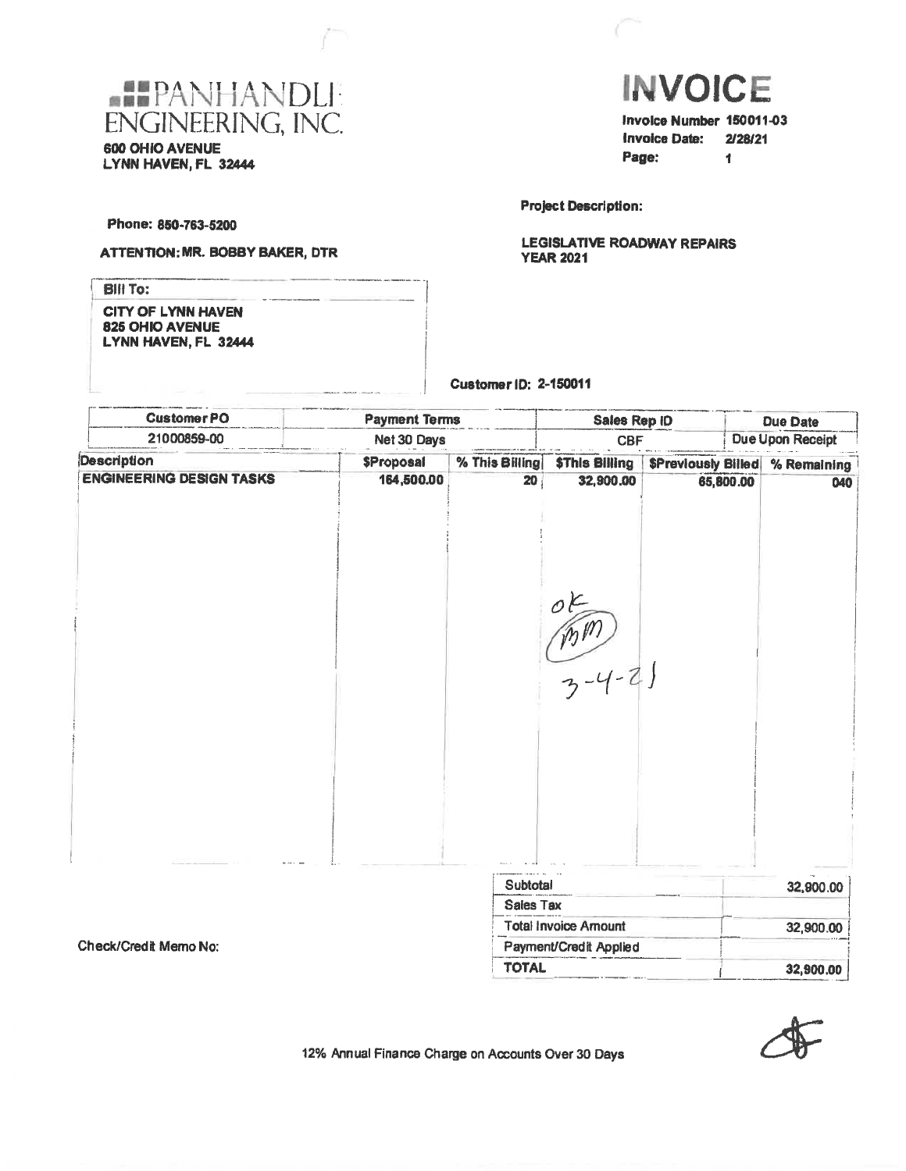

600 OHIO AVENUE LYNN HAVEN, FL 32444



 $\blacksquare$ 

**Due Date** 

Page:

**Project Description:** 

**Customer ID: 2-150011** 

**Payment Terms** 

**LEGISLATIVE ROADWAY REPAIRS YEAR 2021** 

Sales Rep ID

Phone: 850-763-5200

**CustomerPO** 

ATTENTION: MR. BOBBY BAKER, DTR

| <b>Bill To:</b>                                                      |  |
|----------------------------------------------------------------------|--|
| <b>CITY OF LYNN HAVEN</b><br>825 OHIO AVENUE<br>LYNN HAVEN, FL 32444 |  |
|                                                                      |  |

21000859-00 Net 30 Days Due Upon Receipt **CBF Description** % This Billing **\$Proposal \$This Billing** \$Previously Billed % Remaining **ENGINEERING DESIGN TASKS** 164,500.00 20 32,900.00 65,800.00 040  $(m - 2)$ Subtotal 32,900.00 Sales Tax **Total Invoice Amount** 32,900.00 Check/Credit Memo No: Payment/Credit Applied



32,900.00

12% Annual Finance Charge on Accounts Over 30 Days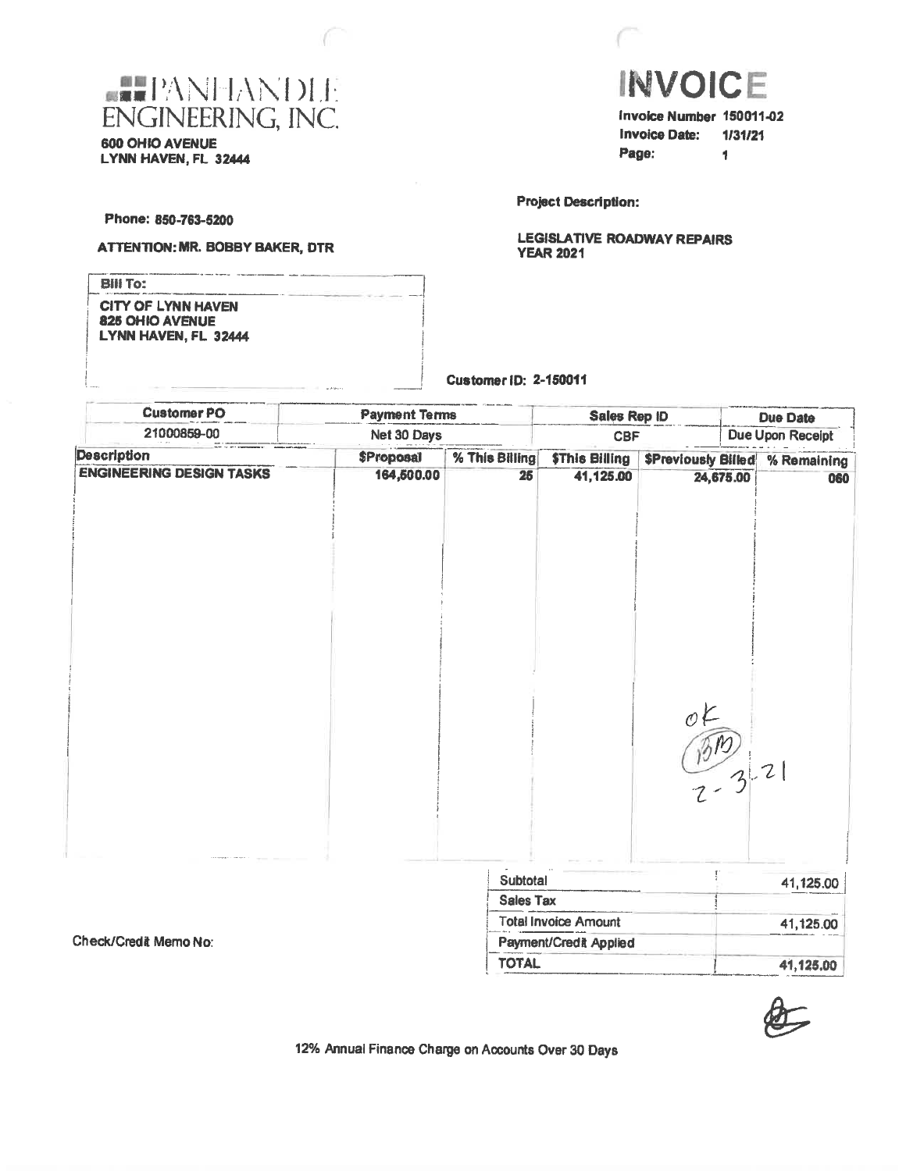



Invoice Number 150011-02 Invoice Date: 1/31/21 Page:  $\mathbf{L}$ 

**Project Description:** 

Customer ID: 2-150011

**LEGISLATIVE ROADWAY REPAIRS YEAR 2021** 

Phone: 850-763-5200

ſ

**ATTENTION: MR. BOBBY BAKER, DTR** 

| <b>BIII To:</b>                                                      |             |
|----------------------------------------------------------------------|-------------|
| <b>CITY OF LYNN HAVEN</b><br>825 OHIO AVENUE<br>LYNN HAVEN, FL 32444 |             |
|                                                                      | 19 MW - 1 - |

| <b>Customer PO</b>              | <b>Payment Terms</b> |                              | Sales Rep ID                |                             |                  | Due Date                               |
|---------------------------------|----------------------|------------------------------|-----------------------------|-----------------------------|------------------|----------------------------------------|
| 21000859-00                     | Net 30 Days          |                              | <b>CBF</b>                  |                             | Due Upon Receipt |                                        |
| <b>Description</b>              | <b>\$Proposal</b>    | % This Billing               | <b>\$This Billing</b>       |                             |                  | <b>\$Previously Billed % Remaining</b> |
| <b>ENGINEERING DESIGN TASKS</b> | 164,500.00           | 25                           | 41,125.00                   |                             | 24,675.00        | 060                                    |
|                                 |                      |                              |                             | $\mathcal{O}$               |                  |                                        |
|                                 |                      |                              |                             | $\frac{\sqrt{310}}{2-3}$ 21 |                  |                                        |
|                                 |                      | Subtotal<br><b>Sales Tax</b> |                             |                             |                  | 41,125.00                              |
|                                 |                      |                              | <b>Total Invoice Amount</b> |                             |                  | 41,125.00                              |

Check/Credit Memo No:



41,125.00

12% Annual Finance Charge on Accounts Over 30 Days

Payment/Credit Applied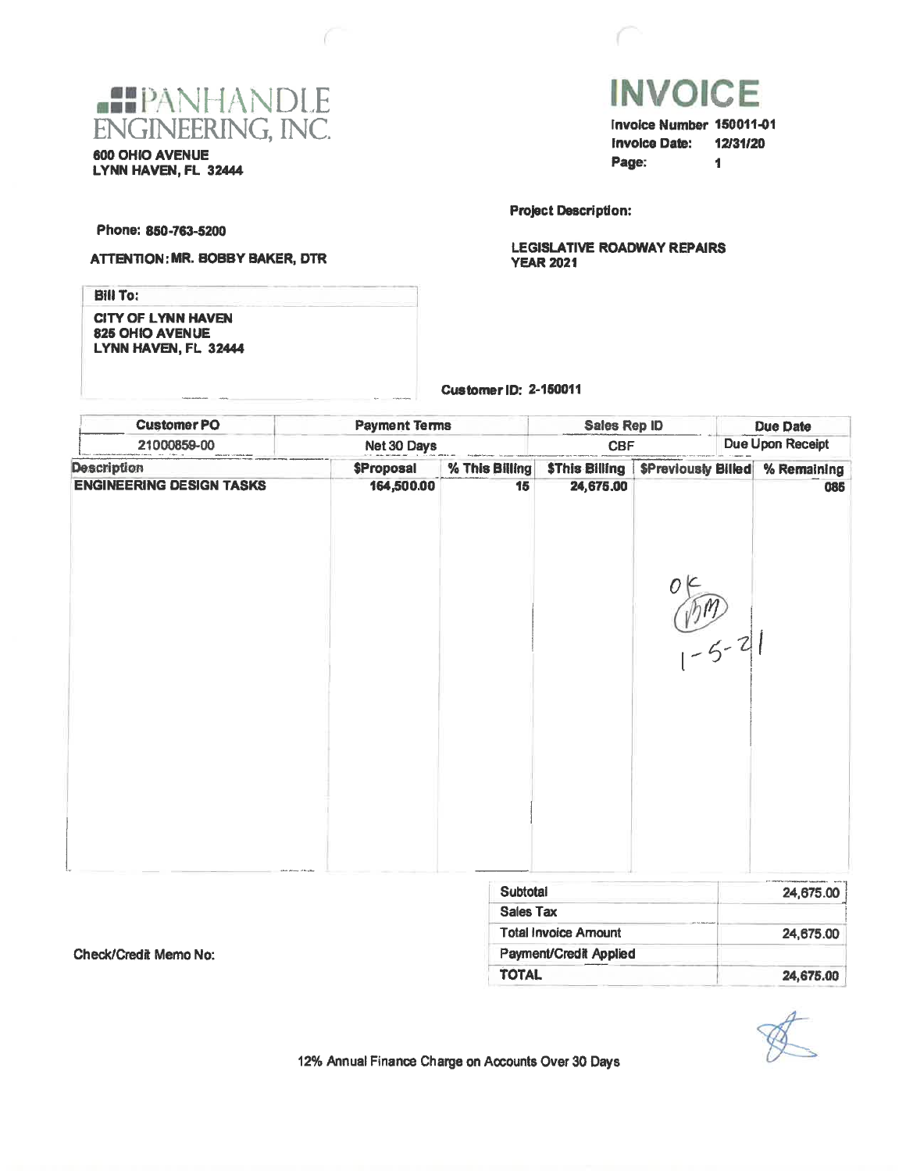



Invoice Number 150011-01 **Invoice Date: 12/31/20** Page:  $\blacksquare$ 

**Project Description:** 

**LEGISLATIVE ROADWAY REPAIRS YEAR 2021** 

Phone: 850-763-5200

#### ATTENTION: MR. BOBBY BAKER, DTR

**Bill To: CITY OF LYNN HAVEN** 825 OHIO AVENUE LYNN HAVEN, FL 32444

#### Customer ID: 2-150011

| <b>CustomerPO</b>               | <b>Payment Terms</b> |                | Sales Rep ID                       |                           | <b>Due Date</b> |                  |  |
|---------------------------------|----------------------|----------------|------------------------------------|---------------------------|-----------------|------------------|--|
| 21000859-00                     | Net 30 Days          |                | <b>CBF</b>                         |                           |                 | Due Upon Receipt |  |
| <b>Description</b>              | <b>\$Proposal</b>    | % This Billing |                                    | <b>SPreviously Billed</b> | % Remaining     |                  |  |
| <b>ENGINEERING DESIGN TASKS</b> | 164,500.00           | 15             | <b>\$This Billing</b><br>24,675.00 | $\frac{16}{1-5-2}$        |                 | 085              |  |
|                                 |                      |                |                                    |                           |                 |                  |  |
|                                 |                      | Subtotal       |                                    |                           |                 | 24,675.00        |  |

| <b>Subtotal</b>                                      | 24,675.00 |
|------------------------------------------------------|-----------|
| Sales Tax                                            |           |
| and the American pro-<br><b>Total Invoice Amount</b> | 24,675.00 |
| Payment/Credit Applied                               |           |
| <b>TOTAL</b>                                         | 24,675,00 |

Check/Credit Memo No:

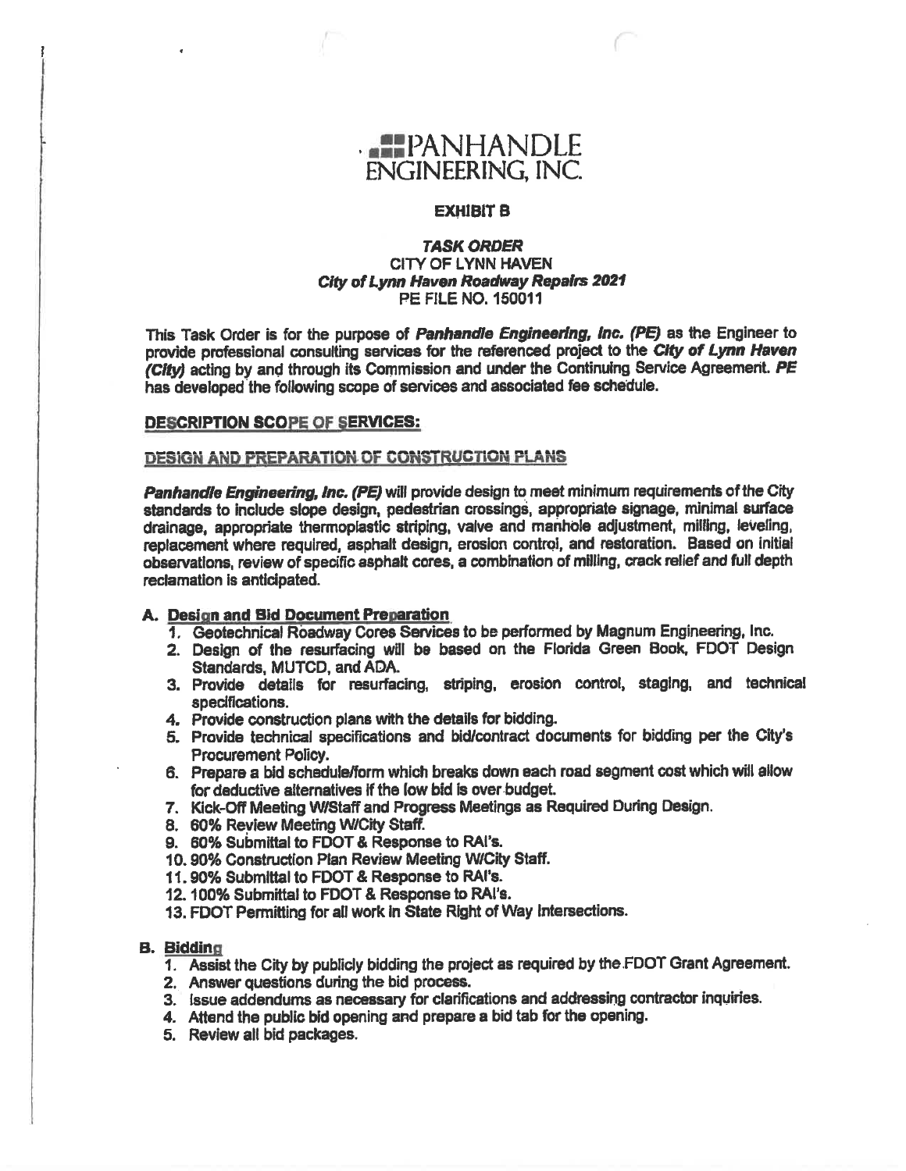

### **EXHIBIT B**

### **TASK ORDER** CITY OF LYNN HAVEN City of Lynn Haven Roadway Repairs 2021 **PE FILE NO. 150011**

This Task Order is for the purpose of Panhandle Engineering, inc. (PE) as the Engineer to provide professional consulting services for the referenced project to the City of Lynn Haven (City) acting by and through its Commission and under the Continuing Service Agreement. PE has developed the following scope of services and associated fee schedule.

#### DESCRIPTION SCOPE OF SERVICES:

#### **DESIGN AND PREPARATION OF CONSTRUCTION PLANS**

Panhandle Engineering, Inc. (PE) will provide design to meet minimum requirements of the City standards to include slope design, pedestrian crossings, appropriate signage, minimal surface drainage, appropriate thermoplastic striping, valve and manhole adjustment, milling, leveling, replacement where required, asphalt design, erosion control, and restoration. Based on initial observations, review of specific asphalt cores, a combination of milling, crack relief and full depth reclamation is anticipated.

#### A. Design and Bid Document Preparation

- 1. Geotechnical Roadway Cores Services to be performed by Magnum Engineering, Inc.
- 2. Design of the resurfacing will be based on the Florida Green Book, FDOT Design Standards, MUTCD, and ADA.
- 3. Provide details for resurfacing, striping, erosion control, staging, and technical specifications.
- 4. Provide construction plans with the details for bidding.
- 5. Provide technical specifications and bid/contract documents for bidding per the City's **Procurement Policy.**
- 6. Prepare a bid schedule/form which breaks down each road segment cost which will allow for deductive alternatives if the low bid is over budget.
- 7. Kick-Off Meeting W/Staff and Progress Meetings as Required During Design.
- 8. 60% Review Meeting W/City Staff.
- 9. 60% Submittal to FDOT & Response to RAI's.
- 10.90% Construction Plan Review Meeting W/City Staff.
- 11.90% Submittal to FDOT & Response to RAI's.
- 12. 100% Submittal to FDOT & Response to RAI's.
- 13. FDOT Permitting for all work in State Right of Way Intersections.

#### **B.** Bidding

- 1. Assist the City by publicly bidding the project as required by the FDOT Grant Agreement.
- 2. Answer questions during the bid process.
- 3. Issue addendums as necessary for clarifications and addressing contractor inquiries.
- 4. Attend the public bid opening and prepare a bid tab for the opening.
- 5. Review all bid packages.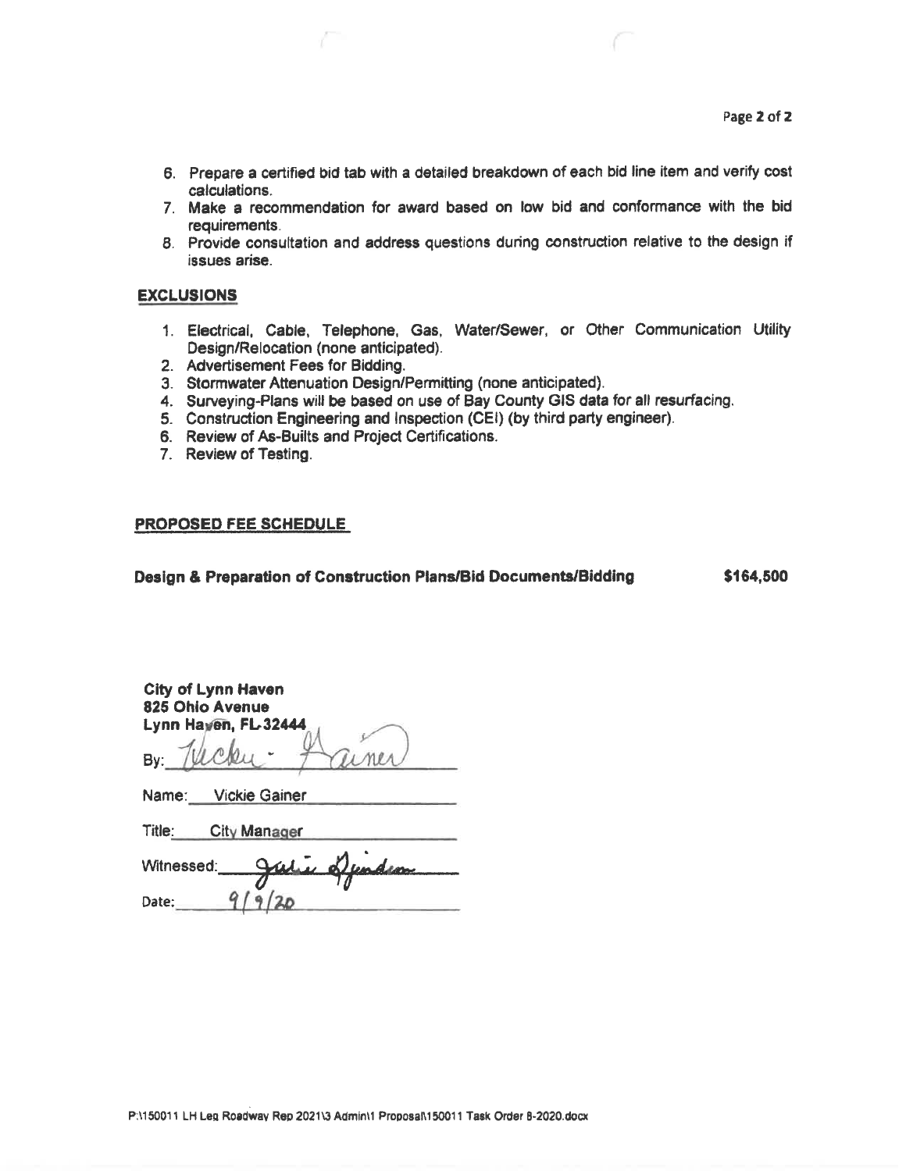- 6. Prepare a certified bid tab with a detailed breakdown of each bid line item and verify cost calculations.
- 7. Make a recommendation for award based on low bid and conformance with the bid requirements.
- 8. Provide consultation and address questions during construction relative to the design if issues arise.

## **EXCLUSIONS**

- 1. Electrical, Cable, Telephone, Gas, Water/Sewer, or Other Communication Utility Design/Relocation (none anticipated).
- 2. Advertisement Fees for Bidding.
- 3. Stormwater Attenuation Design/Permitting (none anticipated).
- 4. Surveying-Plans will be based on use of Bay County GIS data for all resurfacing.
- 5. Construction Engineering and Inspection (CEI) (by third party engineer).
- 6. Review of As-Builts and Project Certifications.
- 7. Review of Testing.

#### **PROPOSED FEE SCHEDULE**

#### Design & Preparation of Construction Plans/Bid Documents/Bidding

\$164,500

| City of Lynn Haven   |  |
|----------------------|--|
| 825 Ohio Avenue      |  |
| Lynn Haven, FL 32444 |  |
|                      |  |

| Name: | <b>Vickie Gainer</b> |  |
|-------|----------------------|--|
|       |                      |  |

| Title:<br>City Manager |  |
|------------------------|--|
|------------------------|--|

| Witnessed: | Outre Dunden |
|------------|--------------|
| Date:      |              |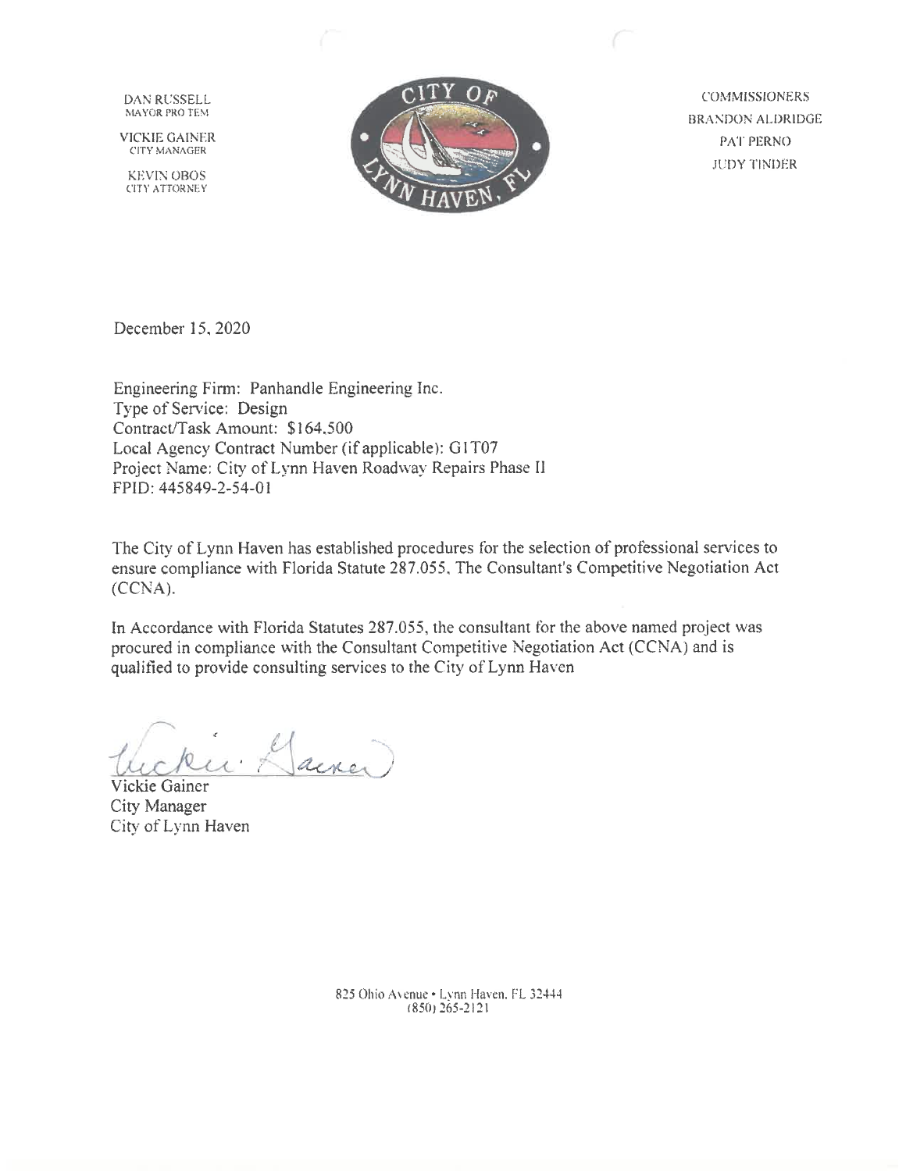DAN RUSSELL MAYOR PRO TEM

**VICKIE GAINER CITY MANAGER** 

**KEVIN OBOS** CITY ATTORNEY



**COMMISSIONERS BRANDON ALDRIDGE PAT PERNO JUDY TINDER** 

December 15, 2020

Engineering Firm: Panhandle Engineering Inc. Type of Service: Design Contract/Task Amount: \$164,500 Local Agency Contract Number (if applicable): G1T07 Project Name: City of Lynn Haven Roadway Repairs Phase II FPID: 445849-2-54-01

The City of Lynn Haven has established procedures for the selection of professional services to ensure compliance with Florida Statute 287.055, The Consultant's Competitive Negotiation Act  $(CCNA).$ 

In Accordance with Florida Statutes 287.055, the consultant for the above named project was procured in compliance with the Consultant Competitive Negotiation Act (CCNA) and is qualified to provide consulting services to the City of Lynn Haven

ainer,

Vickie Gainer City Manager City of Lynn Haven

825 Ohio Avenue · Lynn Haven, FL 32444  $(850)$  265-2121